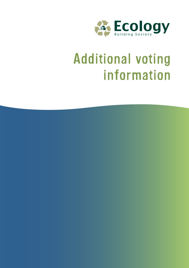

# Additional voting information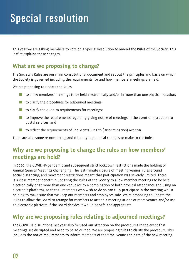This year we are asking members to vote on a Special Resolution to amend the Rules of the Society. This leaflet explains these changes.

## **What are we proposing to change?**

The Society's Rules are our main constitutional document and set out the principles and basis on which the Society is governed including the requirements for and how members' meetings are held.

We are proposing to update the Rules:

- $\blacksquare$  to allow members' meetings to be held electronically and/or in more than one physical location;
- $\blacksquare$  to clarify the procedures for adjourned meetings;
- to clarify the quorum requirements for meetings;
- $\blacksquare$  to improve the requirements regarding giving notice of meetings in the event of disruption to postal services; and
- $\blacksquare$  to reflect the requirements of The Mental Health (Discrimination) Act 2013.

There are also some re-numbering and minor typographical changes to make to the Rules.

## **Why are we proposing to change the rules on how members' meetings are held?**

In 2020, the COVID-19 pandemic and subsequent strict lockdown restrictions made the holding of Annual General Meetings challenging. The last-minute closure of meeting venues, rules around social distancing, and movement restrictions meant that participation was severely limited. There is a clear member benefit in updating the Rules of the Society to allow member meetings to be held electronically or at more than one venue (or by a combination of both physical attendance and using an electronic platform), so that all members who wish to do so can fully participate in the meeting whilst helping to make sure that we keep our members and employees safe. We're proposing to update the Rules to allow the Board to arrange for members to attend a meeting at one or more venues and/or use an electronic platform if the Board decides it would be safe and appropriate.

## **Why are we proposing rules relating to adjourned meetings?**

The COVID-19 disruptions last year also focused our attention on the procedures in the event that meetings are disrupted and need to be adjourned. We are proposing rules to clarify the procedure. This includes the notice requirements to inform members of the time, venue and date of the new meeting.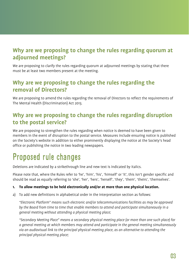## **Why are we proposing to change the rules regarding quorum at adjourned meetings?**

We are proposing to clarify the rules regarding quorum at adjourned meetings by stating that there must be at least two members present at the meeting.

## **Why are we proposing to change the rules regarding the removal of Directors?**

We are proposing to amend the rules regarding the removal of Directors to reflect the requirements of The Mental Health (Discrimination) Act 2013.

## **Why are we proposing to change the rules regarding disruption to the postal service?**

We are proposing to strengthen the rules regarding when notice is deemed to have been given to members in the event of disruption to the postal service. Measures include ensuring notice is published on the Society's website in addition to either prominently displaying the notice at the Society's head office or publishing the notice in two leading newspapers.

## Proposed rule changes

Deletions are indicated by a strikethrough line and new text is indicated by italics.

Please note that, where the Rules refer to 'he', 'him', 'his', 'himself' or 'it', this isn't gender specific and should be read as equally referring to 'she', 'her', 'hers', 'herself', 'they', 'them', 'theirs', 'themselves'.

#### **1. To allow meetings to be held electronically and/or at more than one physical location.**

a) To add new definitions in alphabetical order in the Interpretation section as follows:

 *"Electronic Platform" means such electronic and/or telecommunications facilities as may be approved by the Board from time to time that enable members to attend and participate simultaneously in a general meeting without attending a physical meeting place;*

 *"Secondary Meeting Place" means a secondary physical meeting place (or more than one such place) for a general meeting at which members may attend and participate in the general meeting simultaneously via an audiovisual link to the principal physical meeting place, as an alternative to attending the principal physical meeting place;*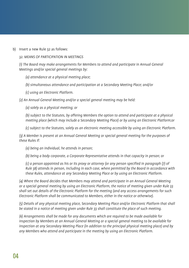b) Insert a new Rule 32 as follows:

*32. MEANS OF PARTICIPATION IN MEETINGS*

 *(1) The Board may make arrangements for Members to attend and participate in Annual General Meetings and/or special general meetings by:*

 *(a) attendance at a physical meeting place;*

 *(b) simultaneous attendance and participation at a Secondary Meeting Place; and/or*

 *(c) using an Electronic Platform.*

*(2) An Annual General Meeting and/or a special general meeting may be held:*

 *(a) solely as a physical meeting; or*

 *(b) subject to the Statutes, by offering Members the option to attend and participate at a physical meeting place (which may include a Secondary Meeting Place) or by using an Electronic Platform;or*

 *(c) subject to the Statutes, solely as an electronic meeting accessible by using an Electronic Platform.*

 *(3) A Member is present at an Annual General Meeting or special general meeting for the purposes of these Rules if:*

 *(a) being an individual, he attends in person;*

 *(b) being a body corporate, a Corporate Representative attends in that capacity in person; or*

(c) a person appointed as his or its proxy or attorney (or any person specified in paragraph (7) of *Rule 38) attends in person, including in each case, where permitted by the Board in accordance with these Rules, attendance at any Secondary Meeting Place or by using an Electronic Platform.*

 *(4) Where the Board decides that Members may attend and participate in an Annual General Meeting or a special general meeting by using an Electronic Platform, the notice of meeting given under Rule 33 shall set out details of the Electronic Platform for the meeting (and any access arrangements for such Electronic Platform shall be communicated to Members, either in the notice or otherwise).*

 *(5) Details of any physical meeting place, Secondary Meeting Place and/or Electronic Platform that shall be stated in a notice of meeting given under Rule 33 shall constitute the place of such meeting.*

 *(6) Arrangements shall be made for any documents which are required to be made available for inspection by Members at an Annual General Meeting or a special general meeting to be available for inspection at any Secondary Meeting Place (in addition to the principal physical meeting place) and by any Members who attend and participate in the meeting by using an Electronic Platform.*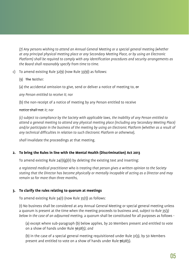*(7) Any persons wishing to attend an Annual General Meeting or a special general meeting (whether at any principal physical meeting place or any Secondary Meeting Place, or by using an Electronic Platform) shall be required to comply with any identification procedures and security arrangements as the Board shall reasonably specify from time to time.*

c) To amend existing Rule 32(9) (now Rule 33(9)) as follows:

(9) The *Neither:* 

(a) the accidental omission to give, send or deliver a notice of meeting to, or

*any Person entitled to receive it; nor*

(b) the non-receipt of a notice of meeting by any Person entitled to receive

#### notice shall not *it; nor*

*(c) subject to compliance by the Society with applicable laws, the inability of any Person entitled to attend a general meeting to attend any physical meeting place (including any Secondary Meeting Place) and/or participate in the business of the meeting by using an Electronic Platform (whether as a result of any technical difficulties in relation to such Electronic Platform or otherwise),*

*shall* invalidate the proceedings at that meeting.

#### **2. To bring the Rules in line with the Mental Health (Discrimination) Act 2013**

To amend existing Rule  $24(1)(g)(ii)$  by deleting the existing text and inserting:

*a registered medical practitioner who is treating that person gives a written opinion to the Society stating that the Director has become physically or mentally incapable of acting as a Director and may remain so for more than three months,*

#### **3. To clarify the rules relating to quorum at meetings**

To amend existing Rule 34(1) (now Rule 35(1)) as follows:

(1) No business shall be considered at any Annual General Meeting or special general meeting unless a quorum is present at the time when the meeting proceeds to business and, *subject to Rule 35(3) below in the case of an adjourned meeting,* a quorum shall be constituted for all purposes as follows -

(a) except where sub-paragraph (b) below applies, by 20 Members present and entitled to vote on a show of hands under Rule 36*38*(5); *and*

(b) in the case of a special general meeting requisitioned under Rule 31(3), by 50 Members present and entitled to vote on a show of hands under Rule 36*38*(5).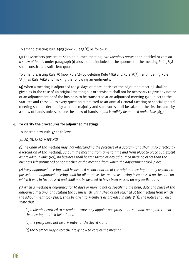To amend existing Rule 34(3) (now Rule 35(3)) as follows:

(3) The Members present at *At* an adjourned meeting, *two Members present* and entitled *to vote on a show of hands* under paragraph (1) above to be included in the quorum for the meeting *Rule 38(5)*  shall constitute a sufficient quorum.

To amend existing Rule 35 (now Rule 36) by deleting Rule 35(2) and Rule 35(3), renumbering Rule 35(4) as Rule 36(2) and making the following amendments:

(4) When a meeting is adjourned for 30 days or more, notice of the adjourned meeting shall be given as in the case of an original meeting but otherwise it shall not be necessary to give any notice of an adjournment or of the business to be transacted at an adjourned meeting.(5) Subject to the Statutes and these Rules every question submitted to an Annual General Meeting or special general meeting shall be decided by a simple majority and such votes shall be taken in the first instance by a show of hands unless, before the show of hands, *a poll is validly demanded under Rule 36(3).* 

#### **4. To clarify the procedures for adjourned meetings**

To insert a new Rule 37 as follows:

#### *37. ADJOURNED MEETINGS*

 *(1) The Chair of the meeting may, notwithstanding the presence of a quorum (and shall, if so directed by a resolution of the meeting), adjourn the meeting from time to time and from place to place but, except as provided in Rule 36(7), no business shall be transacted at any adjourned meeting other than the business left unfinished or not reached at the meeting from which the adjournment took place.*

 *(2) Every adjourned meeting shall be deemed a continuation of the original meeting but any resolution passed at an adjourned meeting shall for all purposes be treated as having been passed on the date on which it was in fact passed and shall not be deemed to have been passed on any earlier date.* 

 *(3) When a meeting is adjourned for 30 days or more, a notice specifying the hour, date and place of the adjourned meeting, and stating the business left unfinished or not reached at the meeting from which the adjournment took place, shall be given to Members as provided in Rule 33(3). The notice shall also state that -*

 *(a) a Member entitled to attend and vote may appoint one proxy to attend and, on a poll, vote at the meeting on their behalf; and*

- *(b) the proxy need not be a Member of the Society; and*
- *(c) the Member may direct the proxy how to vote at the meeting.*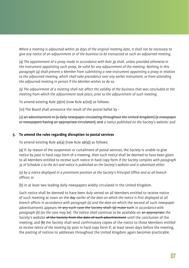*Where a meeting is adjourned within 30 days of the original meeting date, it shall not be necessary to give any notice of an adjournment or of the business to be transacted at such an adjourned meeting.*

 *(4) The appointment of a proxy made in accordance with Rule 39 shall, unless provided otherwise in the instrument appointing such proxy, be valid for any adjournment of the meeting. Nothing in this paragraph (4) shall prevent a Member from submitting a new instrument appointing a proxy in relation to the adjourned meeting, which shall take precedence over any earlier instrument, or from attending the adjourned meeting in person if the Member wishes to do so.*

 *(5) The adjournment of a meeting shall not affect the validity of the business that was concluded at the meeting from which the adjournment took place, prior to the adjournment of such meeting.*

To amend existing Rule 39(10) (now Rule 41(10)) as follows:

(10) The Board shall announce the result of the postal ballot by -

(a) an advertisement in [a daily newspaper circulating throughout the United Kingdom] [a newspaper or newspapers having an appropriate circulation], and *a notice published on the Society's website; and*

#### **5. To amend the rules regarding disruption to postal services**

To amend existing Rule 46(4) (now Rule 48(4)) as follows:

(4) If, by reason of the suspension or curtailment of postal services, the Society is unable to give notice by post in hard copy form of a meeting, then such notice shall be deemed to have been given to all Members entitled to receive such notice in hard copy form if *the Society complies with paragraph 35 of Schedule 2 to the Act and notice is published on the Society's website and is advertised either:*

(a) by a notice displayed in a prominent position at the Society's Principal Office and at all branch *offices; or*

(b) in at least two leading daily newspapers widely circulated in the United Kingdom.

Such notice shall be deemed to have been duly served on all Members entitled to receive notice of such meeting at noon on the day *earlier of the date on which the notice is first displayed at all branch offices in accordance with paragraph (a) and the date* on which the second of such *newspaper* advertisements appears. In any such case the Society shall: (a) make such *in accordance with paragraph (b) (as the case may be). The* notice *shall* continue to be available on an appropriate *the Society's* website of the Society from the date of such advertisement until the conclusion of the meeting; and (b) the Society shall send confirmatory copies of the notice to those Members *entitled to receive notice of the meeting* by post in hard copy form if, at least seven days before the meeting, the posting of notices to addresses throughout the United Kingdom again becomes practicable.